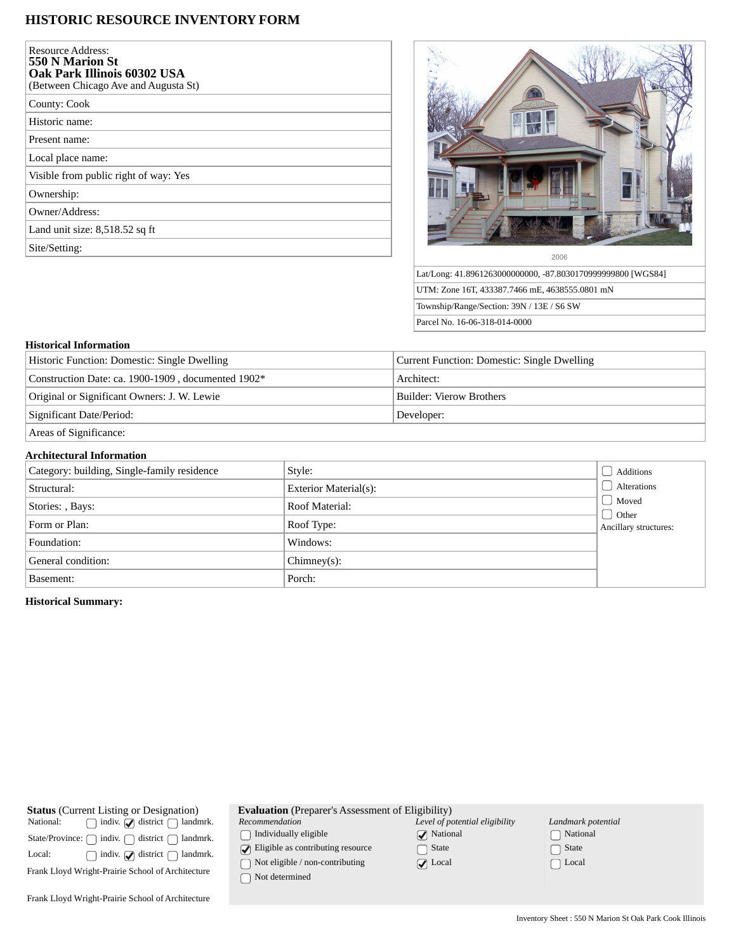# **HISTORIC RESOURCE INVENTORY FORM**

| Resource Address:<br>550 N Marion St<br>Oak Park Illinois 60302 USA<br>(Between Chicago Ave and Augusta St) |  |
|-------------------------------------------------------------------------------------------------------------|--|
| County: Cook                                                                                                |  |
| Historic name:                                                                                              |  |
| Present name:                                                                                               |  |
| Local place name:                                                                                           |  |
| Visible from public right of way: Yes                                                                       |  |
| Ownership:                                                                                                  |  |
| Owner/Address:                                                                                              |  |
| Land unit size: 8,518.52 sq ft                                                                              |  |
| Site/Setting:                                                                                               |  |



Lat/Long: 41.8961263000000000, -87.8030170999999800 [WGS84] UTM: Zone 16T, 433387.7466 mE, 4638555.0801 mN Township/Range/Section: 39N / 13E / S6 SW Parcel No. 16-06-318-014-0000

### **Historical Information**

| Historic Function: Domestic: Single Dwelling       | Current Function: Domestic: Single Dwelling |  |
|----------------------------------------------------|---------------------------------------------|--|
| Construction Date: ca. 1900-1909, documented 1902* | Architect:                                  |  |
| Original or Significant Owners: J. W. Lewie        | <b>Builder: Vierow Brothers</b>             |  |
| Significant Date/Period:                           | Developer:                                  |  |
| Areas of Significance:                             |                                             |  |

### **Architectural Information**

| Category: building, Single-family residence | Style:                       | Additions                                                |  |  |
|---------------------------------------------|------------------------------|----------------------------------------------------------|--|--|
| Structural:                                 | <b>Exterior Material(s):</b> | Alterations<br>  Moved<br>Other<br>Ancillary structures: |  |  |
| Stories: , Bays:                            | Roof Material:               |                                                          |  |  |
| Form or Plan:                               | Roof Type:                   |                                                          |  |  |
| Foundation:                                 | Windows:                     |                                                          |  |  |
| General condition:                          | $Chimney(s)$ :               |                                                          |  |  |
| Basement:                                   | Porch:                       |                                                          |  |  |

## **Historical Summary:**

| <b>Status</b> (Current Listing or Designation)<br>$\Box$ indiv. $\Box$ district $\Box$ landmrk.<br>National:<br>State/Province: $\bigcap$ indiv. $\bigcap$ district $\bigcap$ landmrk.<br>$\Box$ indiv. $\Box$ district $\Box$ landmrk.<br>Local: | <b>Evaluation</b> (Preparer's Asses<br>Recommendation<br>Individually eligible<br>$\sqrt{\phantom{a}}$ Eligible as contributing resour<br>Not eligible / non-contributing |
|---------------------------------------------------------------------------------------------------------------------------------------------------------------------------------------------------------------------------------------------------|---------------------------------------------------------------------------------------------------------------------------------------------------------------------------|
| Frank Lloyd Wright-Prairie School of Architecture                                                                                                                                                                                                 | $\bigcap$ Not determined                                                                                                                                                  |

| (Preparer's Assessment of Eligibility) |                                |  |  |
|----------------------------------------|--------------------------------|--|--|
| оn                                     | Level of potential eligibility |  |  |
| ly eligible                            | $\sqrt{\phantom{a}}$ National  |  |  |
| contributing resource                  | $\bigcap$ State                |  |  |
| e / non-contributing                   | $\nabla$ Local                 |  |  |

| Landmark potential |                         |  |  |
|--------------------|-------------------------|--|--|
|                    | National                |  |  |
|                    | $\vert$ State           |  |  |
|                    | $\lceil \ \rceil$ Local |  |  |

Frank Lloyd Wright-Prairie School of Architecture